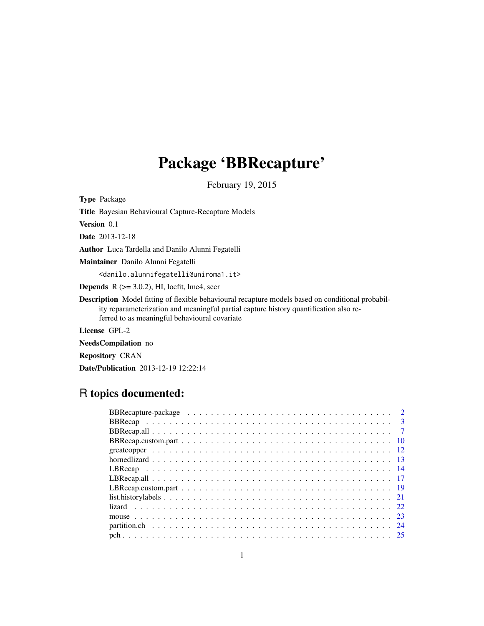## Package 'BBRecapture'

February 19, 2015

<span id="page-0-0"></span>Type Package Title Bayesian Behavioural Capture-Recapture Models Version 0.1 Date 2013-12-18 Author Luca Tardella and Danilo Alunni Fegatelli Maintainer Danilo Alunni Fegatelli <danilo.alunnifegatelli@uniroma1.it> **Depends** R  $(>= 3.0.2)$ , HI, locfit, lme4, secr Description Model fitting of flexible behavioural recapture models based on conditional probability reparameterization and meaningful partial capture history quantification also referred to as meaningful behavioural covariate License GPL-2

NeedsCompilation no

Repository CRAN

Date/Publication 2013-12-19 12:22:14

## R topics documented: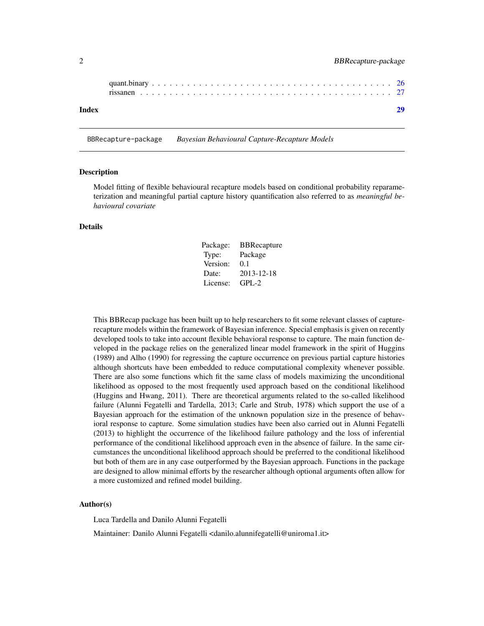<span id="page-1-0"></span>

| Index |  |  |  |  |  |  |  |  |  |  |  |  |  |  |  |  |  |  |  |
|-------|--|--|--|--|--|--|--|--|--|--|--|--|--|--|--|--|--|--|--|

BBRecapture-package *Bayesian Behavioural Capture-Recapture Models*

#### Description

Model fitting of flexible behavioural recapture models based on conditional probability reparameterization and meaningful partial capture history quantification also referred to as *meaningful behavioural covariate*

### Details

| Package: | <b>BBRecapture</b> |
|----------|--------------------|
| Type:    | Package            |
| Version: | 0.1                |
| Date:    | 2013-12-18         |
| License: | $GPI - 2$          |

This BBRecap package has been built up to help researchers to fit some relevant classes of capturerecapture models within the framework of Bayesian inference. Special emphasis is given on recently developed tools to take into account flexible behavioral response to capture. The main function developed in the package relies on the generalized linear model framework in the spirit of Huggins (1989) and Alho (1990) for regressing the capture occurrence on previous partial capture histories although shortcuts have been embedded to reduce computational complexity whenever possible. There are also some functions which fit the same class of models maximizing the unconditional likelihood as opposed to the most frequently used approach based on the conditional likelihood (Huggins and Hwang, 2011). There are theoretical arguments related to the so-called likelihood failure (Alunni Fegatelli and Tardella, 2013; Carle and Strub, 1978) which support the use of a Bayesian approach for the estimation of the unknown population size in the presence of behavioral response to capture. Some simulation studies have been also carried out in Alunni Fegatelli (2013) to highlight the occurrence of the likelihood failure pathology and the loss of inferential performance of the conditional likelihood approach even in the absence of failure. In the same circumstances the unconditional likelihood approach should be preferred to the conditional likelihood but both of them are in any case outperformed by the Bayesian approach. Functions in the package are designed to allow minimal efforts by the researcher although optional arguments often allow for a more customized and refined model building.

#### Author(s)

Luca Tardella and Danilo Alunni Fegatelli

Maintainer: Danilo Alunni Fegatelli <danilo.alunnifegatelli@uniroma1.it>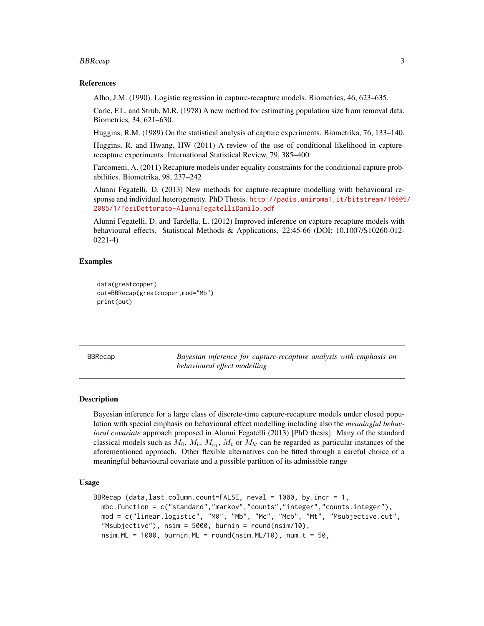#### <span id="page-2-0"></span>BBRecap 3

#### References

Alho, J.M. (1990). Logistic regression in capture-recapture models. Biometrics, 46, 623–635.

Carle, F.L. and Strub, M.R. (1978) A new method for estimating population size from removal data. Biometrics, 34, 621–630.

Huggins, R.M. (1989) On the statistical analysis of capture experiments. Biometrika, 76, 133–140.

Huggins, R. and Hwang, HW (2011) A review of the use of conditional likelihood in capturerecapture experiments. International Statistical Review, 79, 385–400

Farcomeni, A. (2011) Recapture models under equality constraints for the conditional capture probabilities. Biometrika, 98, 237–242

Alunni Fegatelli, D. (2013) New methods for capture-recapture modelling with behavioural response and individual heterogeneity. PhD Thesis. [http://padis.uniroma1.it/bitstream/10805](http://padis.uniroma1.it/bitstream/10805/2085/1/TesiDottorato-AlunniFegatelliDanilo.pdf)/ [2085/1/TesiDottorato-AlunniFegatelliDanilo.pdf](http://padis.uniroma1.it/bitstream/10805/2085/1/TesiDottorato-AlunniFegatelliDanilo.pdf)

Alunni Fegatelli, D. and Tardella, L. (2012) Improved inference on capture recapture models with behavioural effects. Statistical Methods & Applications, 22:45-66 (DOI: 10.1007/S10260-012- 0221-4)

## Examples

```
data(greatcopper)
out=BBRecap(greatcopper,mod="Mb")
print(out)
```
<span id="page-2-1"></span>BBRecap *Bayesian inference for capture-recapture analysis with emphasis on behavioural effect modelling*

#### Description

Bayesian inference for a large class of discrete-time capture-recapture models under closed population with special emphasis on behavioural effect modelling including also the *meaningful behavioral covariate* approach proposed in Alunni Fegatelli (2013) [PhD thesis]. Many of the standard classical models such as  $M_0$ ,  $M_b$ ,  $M_{c_1}$ ,  $M_t$  or  $M_{bt}$  can be regarded as particular instances of the aforementioned approach. Other flexible alternatives can be fitted through a careful choice of a meaningful behavioural covariate and a possible partition of its admissible range

## Usage

```
BBRecap (data,last.column.count=FALSE, neval = 1000, by.incr = 1,
 mbc.function = c("standard","markov","counts","integer","counts.integer"),
 mod = c("linear.logistic", "M0", "Mb", "Mc", "Mcb", "Mt", "Msubjective.cut",
  "Msubjective"), nsim = 5000, burnin = round(nsim/10),
  nsim.ML = 1000, burnin.ML = round(nsim.ML/10), num.t = 50,
```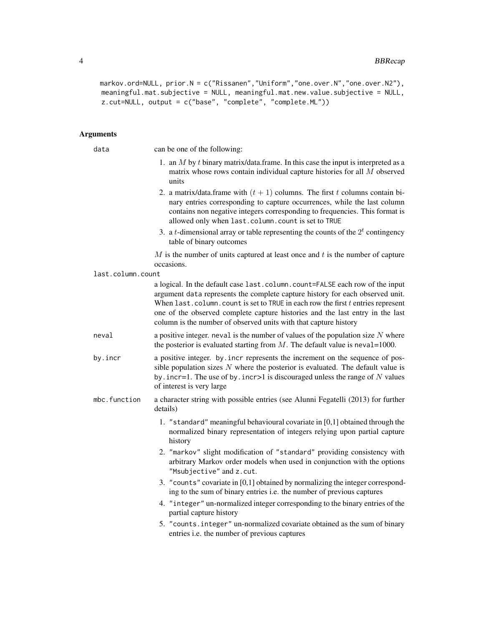```
markov.ord=NULL, prior.N = c("Rissanen","Uniform","one.over.N","one.over.N2"),
meaningful.mat.subjective = NULL, meaningful.mat.new.value.subjective = NULL,
z.cut=NULL, output = c("base", "complete", "complete.ML"))
```
## Arguments

| data              | can be one of the following:                                                                                                                                                                                                                                                                                                                                                                              |
|-------------------|-----------------------------------------------------------------------------------------------------------------------------------------------------------------------------------------------------------------------------------------------------------------------------------------------------------------------------------------------------------------------------------------------------------|
|                   | 1. an $M$ by $t$ binary matrix/data.frame. In this case the input is interpreted as a<br>matrix whose rows contain individual capture histories for all $M$ observed<br>units                                                                                                                                                                                                                             |
|                   | 2. a matrix/data.frame with $(t + 1)$ columns. The first t columns contain bi-<br>nary entries corresponding to capture occurrences, while the last column<br>contains non negative integers corresponding to frequencies. This format is<br>allowed only when last.column.count is set to TRUE                                                                                                           |
|                   | 3. a <i>t</i> -dimensional array or table representing the counts of the $2t$ contingency<br>table of binary outcomes                                                                                                                                                                                                                                                                                     |
|                   | $M$ is the number of units captured at least once and $t$ is the number of capture<br>occasions.                                                                                                                                                                                                                                                                                                          |
| last.column.count |                                                                                                                                                                                                                                                                                                                                                                                                           |
|                   | a logical. In the default case last.column.count=FALSE each row of the input<br>argument data represents the complete capture history for each observed unit.<br>When $last.column.count$ is set to TRUE in each row the first $t$ entries represent<br>one of the observed complete capture histories and the last entry in the last<br>column is the number of observed units with that capture history |
| neval             | a positive integer. neval is the number of values of the population size $N$ where<br>the posterior is evaluated starting from $M$ . The default value is neval=1000.                                                                                                                                                                                                                                     |
| by.incr           | a positive integer. by incr represents the increment on the sequence of pos-<br>sible population sizes $N$ where the posterior is evaluated. The default value is<br>by . incr=1. The use of by . incr>1 is discouraged unless the range of $N$ values<br>of interest is very large                                                                                                                       |
| mbc.function      | a character string with possible entries (see Alunni Fegatelli (2013) for further<br>details)                                                                                                                                                                                                                                                                                                             |
|                   | 1. "standard" meaningful behavioural covariate in [0,1] obtained through the<br>normalized binary representation of integers relying upon partial capture<br>history                                                                                                                                                                                                                                      |
|                   | 2. "markov" slight modification of "standard" providing consistency with<br>arbitrary Markov order models when used in conjunction with the options<br>"Msubjective" and z.cut.                                                                                                                                                                                                                           |
|                   | 3. "counts" covariate in [0,1] obtained by normalizing the integer correspond-<br>ing to the sum of binary entries i.e. the number of previous captures                                                                                                                                                                                                                                                   |
|                   | 4. "integer" un-normalized integer corresponding to the binary entries of the<br>partial capture history                                                                                                                                                                                                                                                                                                  |
|                   | 5. "counts.integer" un-normalized covariate obtained as the sum of binary<br>entries i.e. the number of previous captures                                                                                                                                                                                                                                                                                 |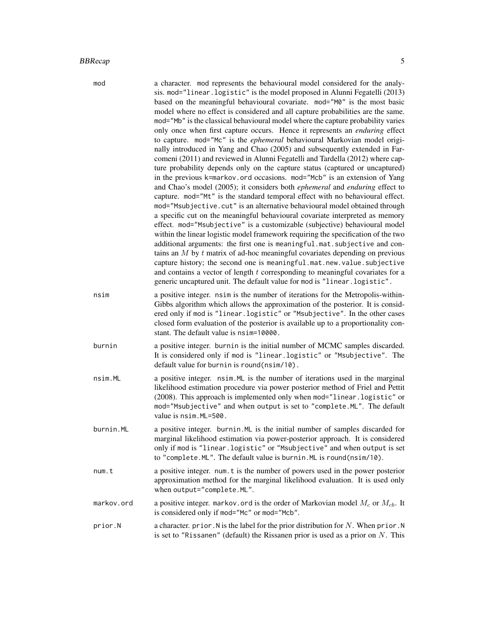#### BBRecap 55

| mod    | a character. mod represents the behavioural model considered for the analy-<br>sis. mod="linear. logistic" is the model proposed in Alunni Fegatelli (2013)<br>based on the meaningful behavioural covariate. mod="M0" is the most basic<br>model where no effect is considered and all capture probabilities are the same.<br>mod="Mb" is the classical behavioural model where the capture probability varies<br>only once when first capture occurs. Hence it represents an enduring effect<br>to capture. mod="Mc" is the <i>ephemeral</i> behavioural Markovian model origi-<br>nally introduced in Yang and Chao (2005) and subsequently extended in Far-<br>comeni (2011) and reviewed in Alunni Fegatelli and Tardella (2012) where cap-<br>ture probability depends only on the capture status (captured or uncaptured)<br>in the previous k=markov.ord occasions. mod="Mcb" is an extension of Yang<br>and Chao's model (2005); it considers both <i>ephemeral</i> and <i>enduring</i> effect to<br>capture. mod="Mt" is the standard temporal effect with no behavioural effect.<br>mod="Msubjective.cut" is an alternative behavioural model obtained through<br>a specific cut on the meaningful behavioural covariate interpreted as memory<br>effect. mod="Msubjective" is a customizable (subjective) behavioural model<br>within the linear logistic model framework requiring the specification of the two<br>additional arguments: the first one is meaningful.mat.subjective and con-<br>tains an $M$ by $t$ matrix of ad-hoc meaningful covariates depending on previous<br>capture history; the second one is meaningful.mat.new.value.subjective<br>and contains a vector of length $t$ corresponding to meaningful covariates for a<br>generic uncaptured unit. The default value for mod is "linear.logistic". |
|--------|-----------------------------------------------------------------------------------------------------------------------------------------------------------------------------------------------------------------------------------------------------------------------------------------------------------------------------------------------------------------------------------------------------------------------------------------------------------------------------------------------------------------------------------------------------------------------------------------------------------------------------------------------------------------------------------------------------------------------------------------------------------------------------------------------------------------------------------------------------------------------------------------------------------------------------------------------------------------------------------------------------------------------------------------------------------------------------------------------------------------------------------------------------------------------------------------------------------------------------------------------------------------------------------------------------------------------------------------------------------------------------------------------------------------------------------------------------------------------------------------------------------------------------------------------------------------------------------------------------------------------------------------------------------------------------------------------------------------------------------------------------------------------------------------------------------------------------------------|
| nsim   | a positive integer. nsim is the number of iterations for the Metropolis-within-<br>Gibbs algorithm which allows the approximation of the posterior. It is consid-<br>ered only if mod is "linear.logistic" or "Msubjective". In the other cases<br>closed form evaluation of the posterior is available up to a proportionality con-<br>stant. The default value is nsim=10000.                                                                                                                                                                                                                                                                                                                                                                                                                                                                                                                                                                                                                                                                                                                                                                                                                                                                                                                                                                                                                                                                                                                                                                                                                                                                                                                                                                                                                                                         |
| burnin | a positive integer. burnin is the initial number of MCMC samples discarded.<br>It is considered only if mod is "linear.logistic" or "Msubjective". The<br>default value for burnin is round(nsim/10).                                                                                                                                                                                                                                                                                                                                                                                                                                                                                                                                                                                                                                                                                                                                                                                                                                                                                                                                                                                                                                                                                                                                                                                                                                                                                                                                                                                                                                                                                                                                                                                                                                   |

- nsim.ML a positive integer. nsim.ML is the number of iterations used in the marginal likelihood estimation procedure via power posterior method of Friel and Pettit (2008). This approach is implemented only when mod="linear.logistic" or mod="Msubjective" and when output is set to "complete.ML". The default value is nsim.ML=500.
- burnin.ML a positive integer. burnin.ML is the initial number of samples discarded for marginal likelihood estimation via power-posterior approach. It is considered only if mod is "linear.logistic" or "Msubjective" and when output is set to "complete.ML". The default value is burnin.ML is round(nsim/10).
- num.t a positive integer. num.t is the number of powers used in the power posterior approximation method for the marginal likelihood evaluation. It is used only when output="complete.ML".
- markov.ord a positive integer. markov.ord is the order of Markovian model  $M_c$  or  $M_{cb}$ . It is considered only if mod="Mc" or mod="Mcb".
- prior.N a character. prior.N is the label for the prior distribution for N. When prior.N is set to "Rissanen" (default) the Rissanen prior is used as a prior on  $N$ . This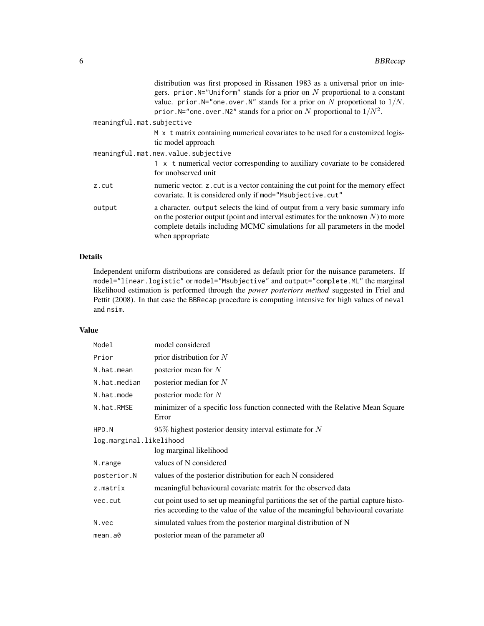|                           | distribution was first proposed in Rissanen 1983 as a universal prior on inte-<br>gers. prior. $N=$ "Uniform" stands for a prior on N proportional to a constant<br>value. prior. N="one. over. N" stands for a prior on N proportional to $1/N$ .<br>prior. N="one. over. N2" stands for a prior on N proportional to $1/N^2$ . |
|---------------------------|----------------------------------------------------------------------------------------------------------------------------------------------------------------------------------------------------------------------------------------------------------------------------------------------------------------------------------|
| meaningful.mat.subjective |                                                                                                                                                                                                                                                                                                                                  |
|                           | M x t matrix containing numerical covariates to be used for a customized logis-<br>tic model approach                                                                                                                                                                                                                            |
|                           | meaningful.mat.new.value.subjective                                                                                                                                                                                                                                                                                              |
|                           | 1 x t numerical vector corresponding to auxiliary covariate to be considered<br>for unobserved unit                                                                                                                                                                                                                              |
| z.cut                     | numeric vector. z. cut is a vector containing the cut point for the memory effect<br>covariate. It is considered only if mod="Msubjective.cut"                                                                                                                                                                                   |
| output                    | a character. output selects the kind of output from a very basic summary info<br>on the posterior output (point and interval estimates for the unknown $N$ ) to more<br>complete details including MCMC simulations for all parameters in the model<br>when appropriate                                                          |

## Details

Independent uniform distributions are considered as default prior for the nuisance parameters. If model="linear.logistic" or model="Msubjective" and output="complete.ML" the marginal likelihood estimation is performed through the *power posteriors method* suggested in Friel and Pettit (2008). In that case the BBRecap procedure is computing intensive for high values of neval and nsim.

## Value

| Model                   | model considered                                                                                                                                                         |
|-------------------------|--------------------------------------------------------------------------------------------------------------------------------------------------------------------------|
| Prior                   | prior distribution for $N$                                                                                                                                               |
| N.hat.mean              | posterior mean for $N$                                                                                                                                                   |
| N.hat.median            | posterior median for $N$                                                                                                                                                 |
| N.hat.mode              | posterior mode for $N$                                                                                                                                                   |
| N.hat.RMSE              | minimizer of a specific loss function connected with the Relative Mean Square<br>Error                                                                                   |
| HPD.N                   | $95\%$ highest posterior density interval estimate for N                                                                                                                 |
| log.marginal.likelihood |                                                                                                                                                                          |
|                         | log marginal likelihood                                                                                                                                                  |
| N.range                 | values of N considered                                                                                                                                                   |
| posterior.N             | values of the posterior distribution for each N considered                                                                                                               |
| z.matrix                | meaningful behavioural covariate matrix for the observed data                                                                                                            |
| vec.cut                 | cut point used to set up meaningful partitions the set of the partial capture histo-<br>ries according to the value of the value of the meaningful behavioural covariate |
| N.vec                   | simulated values from the posterior marginal distribution of N                                                                                                           |
| mean.a0                 | posterior mean of the parameter a0                                                                                                                                       |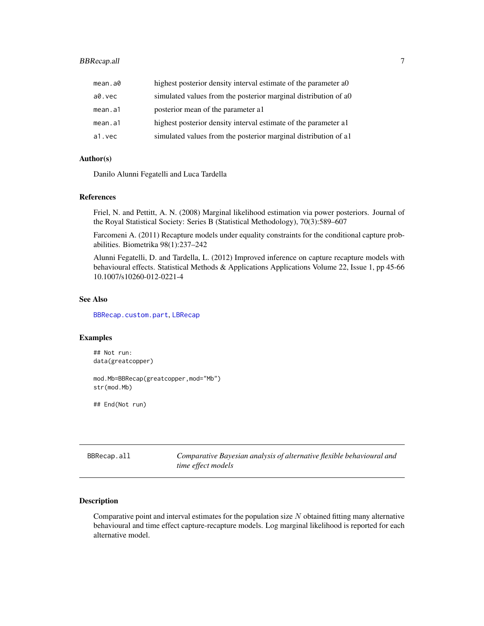## <span id="page-6-0"></span>BBRecap.all 7

| mean.a0 | highest posterior density interval estimate of the parameter ao  |
|---------|------------------------------------------------------------------|
| a0.vec  | simulated values from the posterior marginal distribution of a0  |
| mean.a1 | posterior mean of the parameter all                              |
| mean.a1 | highest posterior density interval estimate of the parameter all |
| a1.vec  | simulated values from the posterior marginal distribution of all |

#### Author(s)

Danilo Alunni Fegatelli and Luca Tardella

#### References

Friel, N. and Pettitt, A. N. (2008) Marginal likelihood estimation via power posteriors. Journal of the Royal Statistical Society: Series B (Statistical Methodology), 70(3):589–607

Farcomeni A. (2011) Recapture models under equality constraints for the conditional capture probabilities. Biometrika 98(1):237–242

Alunni Fegatelli, D. and Tardella, L. (2012) Improved inference on capture recapture models with behavioural effects. Statistical Methods & Applications Applications Volume 22, Issue 1, pp 45-66 10.1007/s10260-012-0221-4

## See Also

[BBRecap.custom.part](#page-9-1), [LBRecap](#page-13-1)

#### Examples

## Not run: data(greatcopper) mod.Mb=BBRecap(greatcopper,mod="Mb") str(mod.Mb)

## End(Not run)

BBRecap.all *Comparative Bayesian analysis of alternative flexible behavioural and time effect models*

#### Description

Comparative point and interval estimates for the population size  $N$  obtained fitting many alternative behavioural and time effect capture-recapture models. Log marginal likelihood is reported for each alternative model.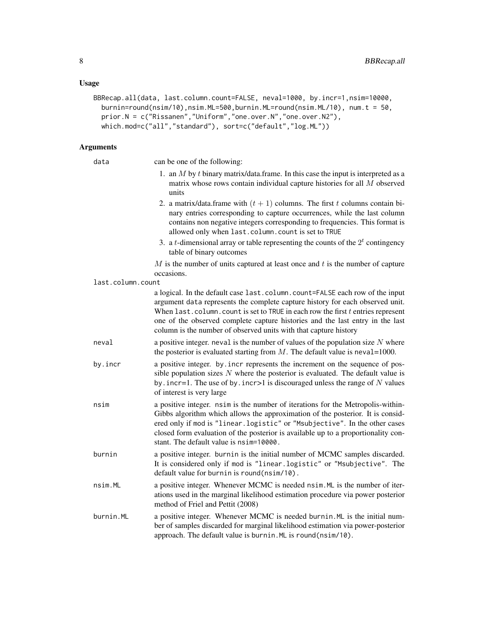## Usage

```
BBRecap.all(data, last.column.count=FALSE, neval=1000, by.incr=1,nsim=10000,
 burnin=round(nsim/10),nsim.ML=500,burnin.ML=round(nsim.ML/10), num.t = 50,
 prior.N = c("Rissanen","Uniform","one.over.N","one.over.N2"),
 which.mod=c("all","standard"), sort=c("default","log.ML"))
```
## Arguments

| data              | can be one of the following:                                                                                                                                                                                                                                                                                                                                                                              |
|-------------------|-----------------------------------------------------------------------------------------------------------------------------------------------------------------------------------------------------------------------------------------------------------------------------------------------------------------------------------------------------------------------------------------------------------|
|                   | 1. an $M$ by $t$ binary matrix/data.frame. In this case the input is interpreted as a<br>matrix whose rows contain individual capture histories for all $M$ observed<br>units                                                                                                                                                                                                                             |
|                   | 2. a matrix/data.frame with $(t + 1)$ columns. The first t columns contain bi-<br>nary entries corresponding to capture occurrences, while the last column<br>contains non negative integers corresponding to frequencies. This format is<br>allowed only when last.column.count is set to TRUE                                                                                                           |
|                   | 3. a <i>t</i> -dimensional array or table representing the counts of the $2t$ contingency<br>table of binary outcomes                                                                                                                                                                                                                                                                                     |
|                   | $M$ is the number of units captured at least once and $t$ is the number of capture<br>occasions.                                                                                                                                                                                                                                                                                                          |
| last.column.count |                                                                                                                                                                                                                                                                                                                                                                                                           |
|                   | a logical. In the default case last.column.count=FALSE each row of the input<br>argument data represents the complete capture history for each observed unit.<br>When last. column. count is set to TRUE in each row the first $t$ entries represent<br>one of the observed complete capture histories and the last entry in the last<br>column is the number of observed units with that capture history |
| neval             | a positive integer, neval is the number of values of the population size $N$ where<br>the posterior is evaluated starting from $M$ . The default value is neval=1000.                                                                                                                                                                                                                                     |
| by.incr           | a positive integer. by incr represents the increment on the sequence of pos-<br>sible population sizes $N$ where the posterior is evaluated. The default value is<br>by . incr=1. The use of by . incr>1 is discouraged unless the range of $N$ values<br>of interest is very large                                                                                                                       |
| nsim              | a positive integer. nsim is the number of iterations for the Metropolis-within-<br>Gibbs algorithm which allows the approximation of the posterior. It is consid-<br>ered only if mod is "linear.logistic" or "Msubjective". In the other cases<br>closed form evaluation of the posterior is available up to a proportionality con-<br>stant. The default value is nsim=10000.                           |
| burnin            | a positive integer. burnin is the initial number of MCMC samples discarded.<br>It is considered only if mod is "linear.logistic" or "Msubjective". The<br>default value for burnin is round(nsim/10).                                                                                                                                                                                                     |
| nsim.ML           | a positive integer. Whenever MCMC is needed nsim. ML is the number of iter-<br>ations used in the marginal likelihood estimation procedure via power posterior<br>method of Friel and Pettit (2008)                                                                                                                                                                                                       |
| burnin.ML         | a positive integer. Whenever MCMC is needed burnin. ML is the initial num-<br>ber of samples discarded for marginal likelihood estimation via power-posterior<br>approach. The default value is burnin. ML is round (nsim/10).                                                                                                                                                                            |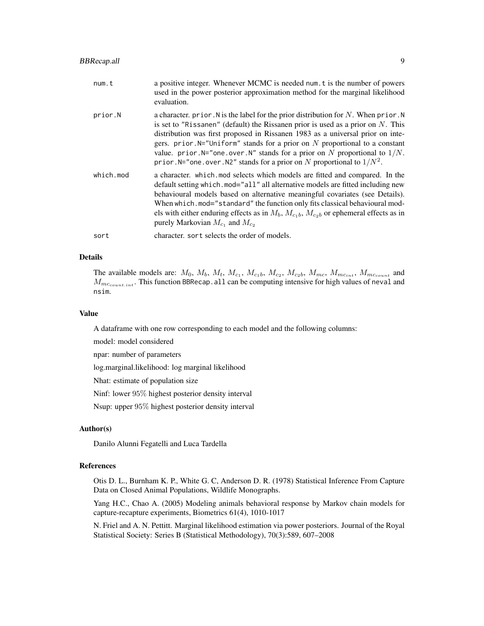| num.t     | a positive integer. Whenever MCMC is needed num. t is the number of powers<br>used in the power posterior approximation method for the marginal likelihood<br>evaluation.                                                                                                                                                                                                                                                                                                                                          |
|-----------|--------------------------------------------------------------------------------------------------------------------------------------------------------------------------------------------------------------------------------------------------------------------------------------------------------------------------------------------------------------------------------------------------------------------------------------------------------------------------------------------------------------------|
| prior.N   | a character. prior. N is the label for the prior distribution for N. When prior. N<br>is set to "Rissanen" (default) the Rissanen prior is used as a prior on $N$ . This<br>distribution was first proposed in Rissanen 1983 as a universal prior on inte-<br>gers. prior. $N=$ "Uniform" stands for a prior on N proportional to a constant<br>value. prior. $N=$ "one. over. $N$ " stands for a prior on N proportional to $1/N$ .<br>prior. N="one. over. N2" stands for a prior on N proportional to $1/N^2$ . |
| which.mod | a character. which mod selects which models are fitted and compared. In the<br>default setting which.mod="all" all alternative models are fitted including new<br>behavioural models based on alternative meaningful covariates (see Details).<br>When which. mod="standard" the function only fits classical behavioural mod-<br>els with either enduring effects as in $M_b$ , $M_{c_1b}$ , $M_{c_2b}$ or ephemeral effects as in<br>purely Markovian $M_{c_1}$ and $M_{c_2}$                                    |
| sort      | character, sort selects the order of models.                                                                                                                                                                                                                                                                                                                                                                                                                                                                       |

## Details

The available models are:  $M_0$ ,  $M_b$ ,  $M_t$ ,  $M_{c_1}$ ,  $M_{c_1}$ ,  $M_{c_2}$ ,  $M_{c_2}$ ,  $M_{mc}$ ,  $M_{mc_{int}}$ ,  $M_{mc_{count}}$  and  $M_{mc_{count.int}}$ . This function BBRecap. all can be computing intensive for high values of neval and nsim.

#### Value

A dataframe with one row corresponding to each model and the following columns:

model: model considered

npar: number of parameters

log.marginal.likelihood: log marginal likelihood

Nhat: estimate of population size

Ninf: lower 95% highest posterior density interval

Nsup: upper 95% highest posterior density interval

#### Author(s)

Danilo Alunni Fegatelli and Luca Tardella

## References

Otis D. L., Burnham K. P., White G. C, Anderson D. R. (1978) Statistical Inference From Capture Data on Closed Animal Populations, Wildlife Monographs.

Yang H.C., Chao A. (2005) Modeling animals behavioral response by Markov chain models for capture-recapture experiments, Biometrics 61(4), 1010-1017

N. Friel and A. N. Pettitt. Marginal likelihood estimation via power posteriors. Journal of the Royal Statistical Society: Series B (Statistical Methodology), 70(3):589, 607–2008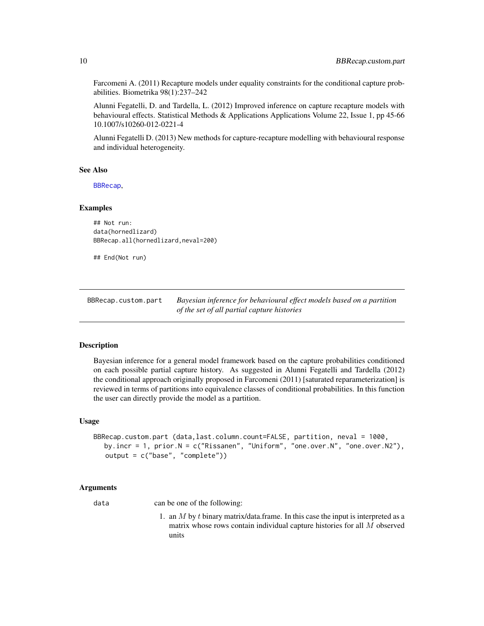Farcomeni A. (2011) Recapture models under equality constraints for the conditional capture probabilities. Biometrika 98(1):237–242

Alunni Fegatelli, D. and Tardella, L. (2012) Improved inference on capture recapture models with behavioural effects. Statistical Methods & Applications Applications Volume 22, Issue 1, pp 45-66 10.1007/s10260-012-0221-4

Alunni Fegatelli D. (2013) New methods for capture-recapture modelling with behavioural response and individual heterogeneity.

#### See Also

[BBRecap](#page-2-1),

#### Examples

```
## Not run:
data(hornedlizard)
BBRecap.all(hornedlizard,neval=200)
```
## End(Not run)

<span id="page-9-1"></span>BBRecap.custom.part *Bayesian inference for behavioural effect models based on a partition of the set of all partial capture histories*

#### Description

Bayesian inference for a general model framework based on the capture probabilities conditioned on each possible partial capture history. As suggested in Alunni Fegatelli and Tardella (2012) the conditional approach originally proposed in Farcomeni (2011) [saturated reparameterization] is reviewed in terms of partitions into equivalence classes of conditional probabilities. In this function the user can directly provide the model as a partition.

#### Usage

```
BBRecap.custom.part (data,last.column.count=FALSE, partition, neval = 1000,
  by.incr = 1, prior.N = c("Rissanen", "Uniform", "one.over.N", "one.over.N2"),
   output = c("base", "complete"))
```
#### Arguments

data can be one of the following:

1. an  $M$  by  $t$  binary matrix/data.frame. In this case the input is interpreted as a matrix whose rows contain individual capture histories for all M observed units

<span id="page-9-0"></span>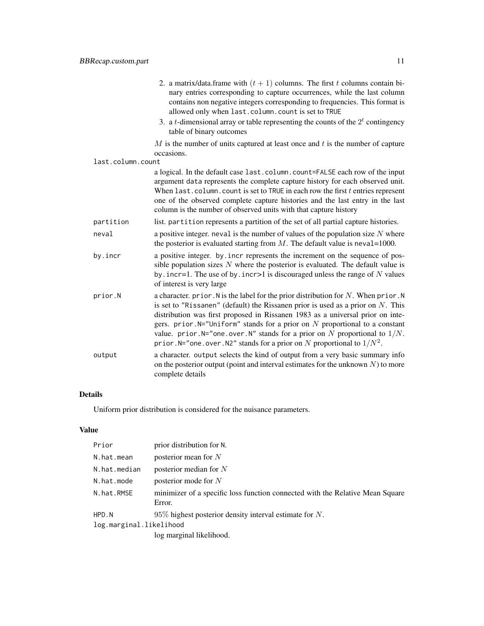|                   | 2. a matrix/data.frame with $(t + 1)$ columns. The first t columns contain bi-<br>nary entries corresponding to capture occurrences, while the last column<br>contains non negative integers corresponding to frequencies. This format is<br>allowed only when last.column.count is set to TRUE                                                                                                                                                                                                                 |
|-------------------|-----------------------------------------------------------------------------------------------------------------------------------------------------------------------------------------------------------------------------------------------------------------------------------------------------------------------------------------------------------------------------------------------------------------------------------------------------------------------------------------------------------------|
|                   | 3. a <i>t</i> -dimensional array or table representing the counts of the $2t$ contingency<br>table of binary outcomes                                                                                                                                                                                                                                                                                                                                                                                           |
|                   | $M$ is the number of units captured at least once and $t$ is the number of capture<br>occasions.                                                                                                                                                                                                                                                                                                                                                                                                                |
| last.column.count |                                                                                                                                                                                                                                                                                                                                                                                                                                                                                                                 |
|                   | a logical. In the default case last.column.count=FALSE each row of the input<br>argument data represents the complete capture history for each observed unit.<br>When $last.column.count is set to TRUE in each row the first t entries represent$<br>one of the observed complete capture histories and the last entry in the last<br>column is the number of observed units with that capture history                                                                                                         |
| partition         | list. partition represents a partition of the set of all partial capture histories.                                                                                                                                                                                                                                                                                                                                                                                                                             |
| neval             | a positive integer, neval is the number of values of the population size $N$ where<br>the posterior is evaluated starting from $M$ . The default value is neval=1000.                                                                                                                                                                                                                                                                                                                                           |
| by.incr           | a positive integer. by incr represents the increment on the sequence of pos-<br>sible population sizes $N$ where the posterior is evaluated. The default value is<br>by . incr=1. The use of by . incr>1 is discouraged unless the range of $N$ values<br>of interest is very large.                                                                                                                                                                                                                            |
| prior.N           | a character. prior. N is the label for the prior distribution for $N$ . When prior. N<br>is set to "Rissanen" (default) the Rissanen prior is used as a prior on $N$ . This<br>distribution was first proposed in Rissanen 1983 as a universal prior on inte-<br>gers. prior. $N=$ "Uniform" stands for a prior on N proportional to a constant<br>value. prior. N="one. over. N" stands for a prior on N proportional to $1/N$ .<br>prior. N="one. over. N2" stands for a prior on N proportional to $1/N^2$ . |
| output            | a character. output selects the kind of output from a very basic summary info<br>on the posterior output (point and interval estimates for the unknown $N$ ) to more<br>complete details                                                                                                                                                                                                                                                                                                                        |

## Details

Uniform prior distribution is considered for the nuisance parameters.

## Value

| Prior                   | prior distribution for N.                                                               |
|-------------------------|-----------------------------------------------------------------------------------------|
| N.hat.mean              | posterior mean for $N$                                                                  |
| N.hat.median            | posterior median for $N$                                                                |
| N.hat.mode              | posterior mode for $N$                                                                  |
| N.hat.RMSE              | minimizer of a specific loss function connected with the Relative Mean Square<br>Error. |
| HPD.N                   | $95\%$ highest posterior density interval estimate for N.                               |
| log.marginal.likelihood |                                                                                         |
|                         | log marginal likelihood.                                                                |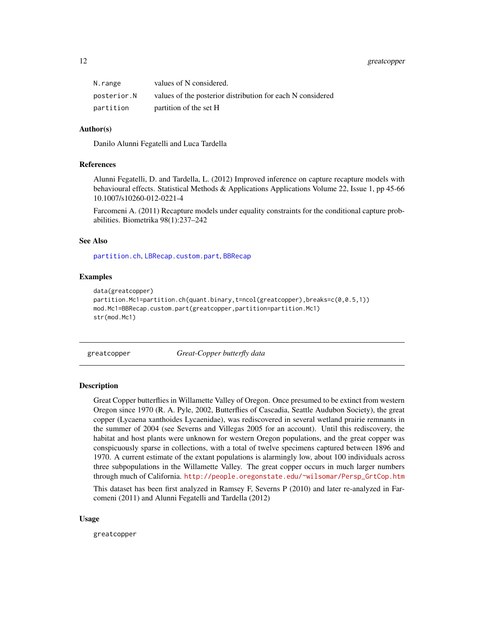## <span id="page-11-0"></span>12 greatcopper

| N.range     | values of N considered.                                    |
|-------------|------------------------------------------------------------|
| posterior.N | values of the posterior distribution for each N considered |
| partition   | partition of the set H                                     |

#### Author(s)

Danilo Alunni Fegatelli and Luca Tardella

#### References

Alunni Fegatelli, D. and Tardella, L. (2012) Improved inference on capture recapture models with behavioural effects. Statistical Methods & Applications Applications Volume 22, Issue 1, pp 45-66 10.1007/s10260-012-0221-4

Farcomeni A. (2011) Recapture models under equality constraints for the conditional capture probabilities. Biometrika 98(1):237–242

## See Also

[partition.ch](#page-23-1), [LBRecap.custom.part](#page-18-1), [BBRecap](#page-2-1)

#### Examples

```
data(greatcopper)
partition.Mc1=partition.ch(quant.binary,t=ncol(greatcopper),breaks=c(0,0.5,1))
mod.Mc1=BBRecap.custom.part(greatcopper,partition=partition.Mc1)
str(mod.Mc1)
```
greatcopper *Great-Copper butterfly data*

#### **Description**

Great Copper butterflies in Willamette Valley of Oregon. Once presumed to be extinct from western Oregon since 1970 (R. A. Pyle, 2002, Butterflies of Cascadia, Seattle Audubon Society), the great copper (Lycaena xanthoides Lycaenidae), was rediscovered in several wetland prairie remnants in the summer of 2004 (see Severns and Villegas 2005 for an account). Until this rediscovery, the habitat and host plants were unknown for western Oregon populations, and the great copper was conspicuously sparse in collections, with a total of twelve specimens captured between 1896 and 1970. A current estimate of the extant populations is alarmingly low, about 100 individuals across three subpopulations in the Willamette Valley. The great copper occurs in much larger numbers through much of California. [http://people.oregonstate.edu/~wilsomar/Persp\\_GrtCop.htm](http://people.oregonstate.edu/~wilsomar/Persp_GrtCop.htm)

This dataset has been first analyzed in Ramsey F, Severns P (2010) and later re-analyzed in Farcomeni (2011) and Alunni Fegatelli and Tardella (2012)

#### Usage

greatcopper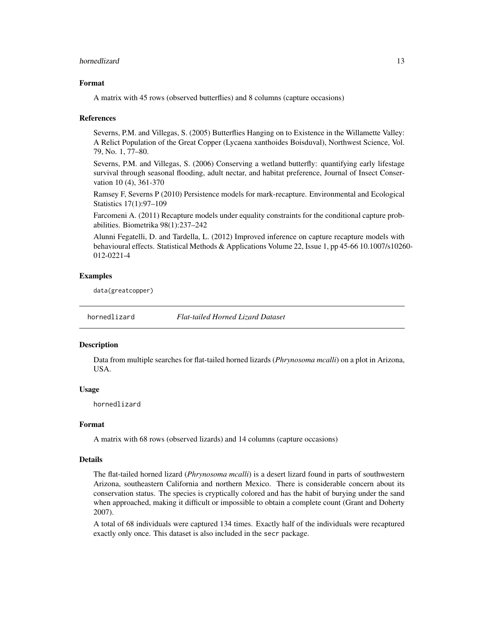#### <span id="page-12-0"></span>hornedlizard 13

#### Format

A matrix with 45 rows (observed butterflies) and 8 columns (capture occasions)

#### References

Severns, P.M. and Villegas, S. (2005) Butterflies Hanging on to Existence in the Willamette Valley: A Relict Population of the Great Copper (Lycaena xanthoides Boisduval), Northwest Science, Vol. 79, No. 1, 77–80.

Severns, P.M. and Villegas, S. (2006) Conserving a wetland butterfly: quantifying early lifestage survival through seasonal flooding, adult nectar, and habitat preference, Journal of Insect Conservation 10 (4), 361-370

Ramsey F, Severns P (2010) Persistence models for mark-recapture. Environmental and Ecological Statistics 17(1):97–109

Farcomeni A. (2011) Recapture models under equality constraints for the conditional capture probabilities. Biometrika 98(1):237–242

Alunni Fegatelli, D. and Tardella, L. (2012) Improved inference on capture recapture models with behavioural effects. Statistical Methods & Applications Volume 22, Issue 1, pp 45-66 10.1007/s10260- 012-0221-4

#### Examples

data(greatcopper)

hornedlizard *Flat-tailed Horned Lizard Dataset*

#### **Description**

Data from multiple searches for flat-tailed horned lizards (*Phrynosoma mcalli*) on a plot in Arizona, USA.

#### Usage

hornedlizard

#### Format

A matrix with 68 rows (observed lizards) and 14 columns (capture occasions)

#### Details

The flat-tailed horned lizard (*Phrynosoma mcalli*) is a desert lizard found in parts of southwestern Arizona, southeastern California and northern Mexico. There is considerable concern about its conservation status. The species is cryptically colored and has the habit of burying under the sand when approached, making it difficult or impossible to obtain a complete count (Grant and Doherty 2007).

A total of 68 individuals were captured 134 times. Exactly half of the individuals were recaptured exactly only once. This dataset is also included in the secr package.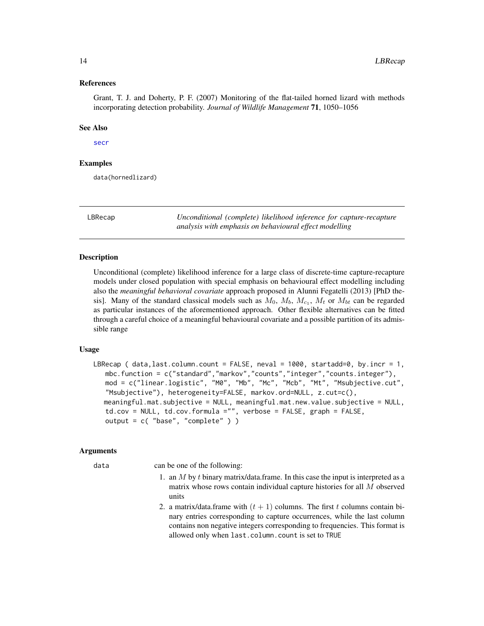#### <span id="page-13-0"></span>References

Grant, T. J. and Doherty, P. F. (2007) Monitoring of the flat-tailed horned lizard with methods incorporating detection probability. *Journal of Wildlife Management* 71, 1050–1056

#### See Also

#### [secr](#page-0-0)

#### Examples

data(hornedlizard)

<span id="page-13-1"></span>

LBRecap *Unconditional (complete) likelihood inference for capture-recapture analysis with emphasis on behavioural effect modelling*

#### **Description**

Unconditional (complete) likelihood inference for a large class of discrete-time capture-recapture models under closed population with special emphasis on behavioural effect modelling including also the *meaningful behavioral covariate* approach proposed in Alunni Fegatelli (2013) [PhD thesis]. Many of the standard classical models such as  $M_0$ ,  $M_b$ ,  $M_{c_1}$ ,  $M_t$  or  $M_{bt}$  can be regarded as particular instances of the aforementioned approach. Other flexible alternatives can be fitted through a careful choice of a meaningful behavioural covariate and a possible partition of its admissible range

#### Usage

```
LBRecap ( data, last.colum.count = FALSE, newal = 1000, stratadd=0, by.incr = 1,mbc.function = c("standard","markov","counts","integer","counts.integer"),
   mod = c("linear.logistic", "M0", "Mb", "Mc", "Mcb", "Mt", "Msubjective.cut",
   "Msubjective"), heterogeneity=FALSE, markov.ord=NULL, z.cut=c(),
  meaningful.mat.subjective = NULL, meaningful.mat.new.value.subjective = NULL,
   td.cov = NULL, td.cov.formula ="", verbose = FALSE, graph = FALSE,
   output = c( "base", "complete" ) )
```
#### Arguments

data can be one of the following:

- 1. an  $M$  by  $t$  binary matrix/data.frame. In this case the input is interpreted as a matrix whose rows contain individual capture histories for all M observed units
- 2. a matrix/data.frame with  $(t + 1)$  columns. The first t columns contain binary entries corresponding to capture occurrences, while the last column contains non negative integers corresponding to frequencies. This format is allowed only when last.column.count is set to TRUE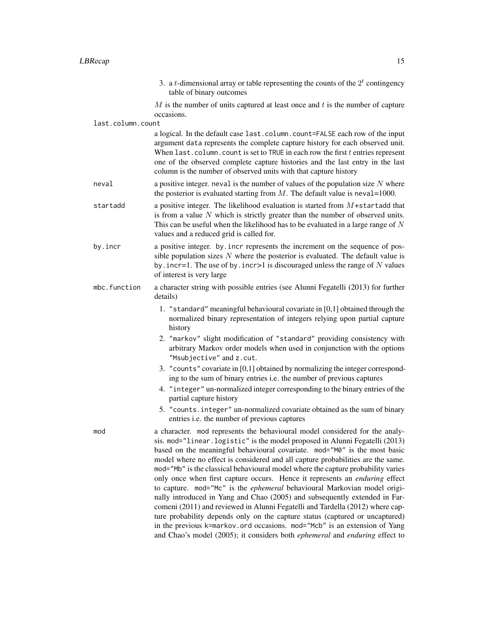3. a *t*-dimensional array or table representing the counts of the  $2<sup>t</sup>$  contingency table of binary outcomes

 $M$  is the number of units captured at least once and  $t$  is the number of capture occasions.

last.column.count

a logical. In the default case last.column.count=FALSE each row of the input argument data represents the complete capture history for each observed unit. When last.column.count is set to TRUE in each row the first  $t$  entries represent one of the observed complete capture histories and the last entry in the last column is the number of observed units with that capture history

- neval a positive integer, neval is the number of values of the population size N where the posterior is evaluated starting from  $M$ . The default value is neval=1000.
- startadd a positive integer. The likelihood evaluation is started from M+startadd that is from a value  $N$  which is strictly greater than the number of observed units. This can be useful when the likelihood has to be evaluated in a large range of  $N$ values and a reduced grid is called for.
- by.incr a positive integer. by.incr represents the increment on the sequence of possible population sizes  $N$  where the posterior is evaluated. The default value is by. incr=1. The use of by. incr>1 is discouraged unless the range of  $N$  values of interest is very large
- mbc.function a character string with possible entries (see Alunni Fegatelli (2013) for further details)
	- 1. "standard" meaningful behavioural covariate in [0,1] obtained through the normalized binary representation of integers relying upon partial capture history
	- 2. "markov" slight modification of "standard" providing consistency with arbitrary Markov order models when used in conjunction with the options "Msubjective" and z.cut.
	- 3. "counts" covariate in [0,1] obtained by normalizing the integer corresponding to the sum of binary entries i.e. the number of previous captures
	- 4. "integer" un-normalized integer corresponding to the binary entries of the partial capture history
	- 5. "counts.integer" un-normalized covariate obtained as the sum of binary entries i.e. the number of previous captures
- mod a character. mod represents the behavioural model considered for the analysis. mod="linear.logistic" is the model proposed in Alunni Fegatelli (2013) based on the meaningful behavioural covariate. mod="M0" is the most basic model where no effect is considered and all capture probabilities are the same. mod="Mb" is the classical behavioural model where the capture probability varies only once when first capture occurs. Hence it represents an *enduring* effect to capture. mod="Mc" is the *ephemeral* behavioural Markovian model originally introduced in Yang and Chao (2005) and subsequently extended in Farcomeni (2011) and reviewed in Alunni Fegatelli and Tardella (2012) where capture probability depends only on the capture status (captured or uncaptured) in the previous k=markov.ord occasions. mod="Mcb" is an extension of Yang and Chao's model (2005); it considers both *ephemeral* and *enduring* effect to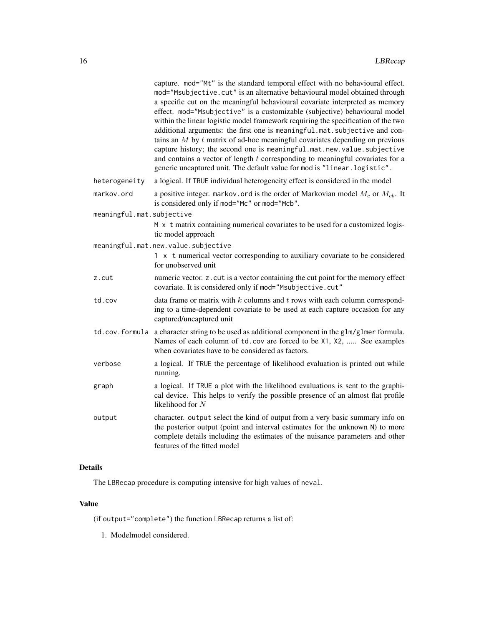|                           | capture. mod="Mt" is the standard temporal effect with no behavioural effect.<br>mod="Msubjective.cut" is an alternative behavioural model obtained through<br>a specific cut on the meaningful behavioural covariate interpreted as memory<br>effect. mod="Msubjective" is a customizable (subjective) behavioural model<br>within the linear logistic model framework requiring the specification of the two<br>additional arguments: the first one is meaningful.mat.subjective and con-<br>tains an $M$ by $t$ matrix of ad-hoc meaningful covariates depending on previous<br>capture history; the second one is meaningful.mat.new.value.subjective<br>and contains a vector of length $t$ corresponding to meaningful covariates for a<br>generic uncaptured unit. The default value for mod is "linear.logistic". |
|---------------------------|---------------------------------------------------------------------------------------------------------------------------------------------------------------------------------------------------------------------------------------------------------------------------------------------------------------------------------------------------------------------------------------------------------------------------------------------------------------------------------------------------------------------------------------------------------------------------------------------------------------------------------------------------------------------------------------------------------------------------------------------------------------------------------------------------------------------------|
| heterogeneity             | a logical. If TRUE individual heterogeneity effect is considered in the model                                                                                                                                                                                                                                                                                                                                                                                                                                                                                                                                                                                                                                                                                                                                             |
| markov.ord                | a positive integer. markov. ord is the order of Markovian model $M_c$ or $M_{cb}$ . It<br>is considered only if mod="Mc" or mod="Mcb".                                                                                                                                                                                                                                                                                                                                                                                                                                                                                                                                                                                                                                                                                    |
| meaningful.mat.subjective |                                                                                                                                                                                                                                                                                                                                                                                                                                                                                                                                                                                                                                                                                                                                                                                                                           |
|                           | M x t matrix containing numerical covariates to be used for a customized logis-<br>tic model approach                                                                                                                                                                                                                                                                                                                                                                                                                                                                                                                                                                                                                                                                                                                     |
|                           | meaningful.mat.new.value.subjective                                                                                                                                                                                                                                                                                                                                                                                                                                                                                                                                                                                                                                                                                                                                                                                       |
|                           | 1 x t numerical vector corresponding to auxiliary covariate to be considered<br>for unobserved unit                                                                                                                                                                                                                                                                                                                                                                                                                                                                                                                                                                                                                                                                                                                       |
| z.cut                     | numeric vector. z. cut is a vector containing the cut point for the memory effect<br>covariate. It is considered only if mod="Msubjective.cut"                                                                                                                                                                                                                                                                                                                                                                                                                                                                                                                                                                                                                                                                            |
| td.cov                    | data frame or matrix with $k$ columns and $t$ rows with each column correspond-<br>ing to a time-dependent covariate to be used at each capture occasion for any<br>captured/uncaptured unit                                                                                                                                                                                                                                                                                                                                                                                                                                                                                                                                                                                                                              |
|                           | td.cov.formula a character string to be used as additional component in the glm/glmer formula.<br>Names of each column of td. cov are forced to be X1, X2,  See examples<br>when covariates have to be considered as factors.                                                                                                                                                                                                                                                                                                                                                                                                                                                                                                                                                                                             |
| verbose                   | a logical. If TRUE the percentage of likelihood evaluation is printed out while<br>running.                                                                                                                                                                                                                                                                                                                                                                                                                                                                                                                                                                                                                                                                                                                               |
| graph                     | a logical. If TRUE a plot with the likelihood evaluations is sent to the graphi-<br>cal device. This helps to verify the possible presence of an almost flat profile<br>likelihood for N                                                                                                                                                                                                                                                                                                                                                                                                                                                                                                                                                                                                                                  |
| output                    | character. output select the kind of output from a very basic summary info on<br>the posterior output (point and interval estimates for the unknown N) to more<br>complete details including the estimates of the nuisance parameters and other<br>features of the fitted model                                                                                                                                                                                                                                                                                                                                                                                                                                                                                                                                           |
|                           |                                                                                                                                                                                                                                                                                                                                                                                                                                                                                                                                                                                                                                                                                                                                                                                                                           |

## Details

The LBRecap procedure is computing intensive for high values of neval.

## Value

(if output="complete") the function LBRecap returns a list of:

1. Modelmodel considered.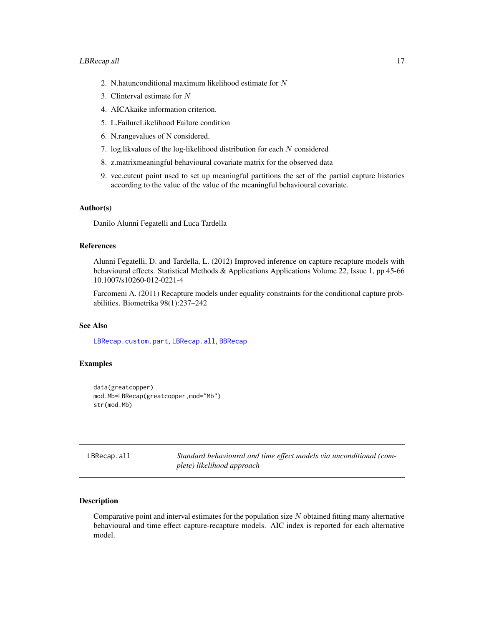- <span id="page-16-0"></span>2. N.hatunconditional maximum likelihood estimate for N
- 3. CIinterval estimate for N
- 4. AICAkaike information criterion.
- 5. L.FailureLikelihood Failure condition
- 6. N.rangevalues of N considered.
- 7. log.likvalues of the log-likelihood distribution for each N considered
- 8. z.matrixmeaningful behavioural covariate matrix for the observed data
- 9. vec.cutcut point used to set up meaningful partitions the set of the partial capture histories according to the value of the value of the meaningful behavioural covariate.

## Author(s)

Danilo Alunni Fegatelli and Luca Tardella

#### References

Alunni Fegatelli, D. and Tardella, L. (2012) Improved inference on capture recapture models with behavioural effects. Statistical Methods & Applications Applications Volume 22, Issue 1, pp 45-66 10.1007/s10260-012-0221-4

Farcomeni A. (2011) Recapture models under equality constraints for the conditional capture probabilities. Biometrika 98(1):237–242

## See Also

[LBRecap.custom.part](#page-18-1), [LBRecap.all](#page-16-1), [BBRecap](#page-2-1)

### Examples

```
data(greatcopper)
mod.Mb=LBRecap(greatcopper,mod="Mb")
str(mod.Mb)
```
<span id="page-16-1"></span>LBRecap.all *Standard behavioural and time effect models via unconditional (complete) likelihood approach*

#### **Description**

Comparative point and interval estimates for the population size  $N$  obtained fitting many alternative behavioural and time effect capture-recapture models. AIC index is reported for each alternative model.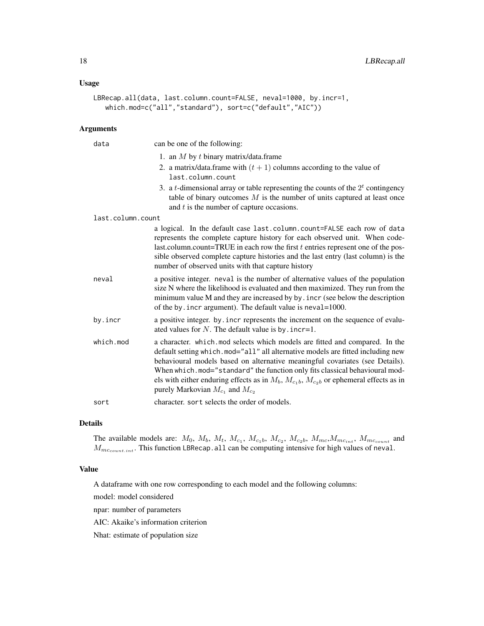## Usage

```
LBRecap.all(data, last.column.count=FALSE, neval=1000, by.incr=1,
   which.mod=c("all","standard"), sort=c("default","AIC"))
```
#### Arguments

| data              | can be one of the following:                                                                                                                                                                                                                                                                                                                                                                                                                                                    |
|-------------------|---------------------------------------------------------------------------------------------------------------------------------------------------------------------------------------------------------------------------------------------------------------------------------------------------------------------------------------------------------------------------------------------------------------------------------------------------------------------------------|
|                   | 1. an $M$ by $t$ binary matrix/data.frame                                                                                                                                                                                                                                                                                                                                                                                                                                       |
|                   | 2. a matrix/data.frame with $(t + 1)$ columns according to the value of<br>last.column.count                                                                                                                                                                                                                                                                                                                                                                                    |
|                   | 3. a <i>t</i> -dimensional array or table representing the counts of the $2t$ contingency<br>table of binary outcomes $M$ is the number of units captured at least once<br>and $t$ is the number of capture occasions.                                                                                                                                                                                                                                                          |
| last.column.count |                                                                                                                                                                                                                                                                                                                                                                                                                                                                                 |
|                   | a logical. In the default case last.column.count=FALSE each row of data<br>represents the complete capture history for each observed unit. When code-<br>last.column.count=TRUE in each row the first $t$ entries represent one of the pos-<br>sible observed complete capture histories and the last entry (last column) is the<br>number of observed units with that capture history                                                                                          |
| neval             | a positive integer, neval is the number of alternative values of the population<br>size N where the likelihood is evaluated and then maximized. They run from the<br>minimum value M and they are increased by by . incr (see below the description<br>of the by. incr argument). The default value is neval=1000.                                                                                                                                                              |
| by.incr           | a positive integer, by, incr represents the increment on the sequence of evalu-<br>ated values for N. The default value is by . incr=1.                                                                                                                                                                                                                                                                                                                                         |
| which.mod         | a character. which mod selects which models are fitted and compared. In the<br>default setting which. mod="all" all alternative models are fitted including new<br>behavioural models based on alternative meaningful covariates (see Details).<br>When which.mod="standard" the function only fits classical behavioural mod-<br>els with either enduring effects as in $M_b$ , $M_{c_1b}$ , $M_{c_2b}$ or ephemeral effects as in<br>purely Markovian $M_{c_1}$ and $M_{c_2}$ |
| sort              | character, sort selects the order of models.                                                                                                                                                                                                                                                                                                                                                                                                                                    |

## Details

The available models are:  $M_0$ ,  $M_b$ ,  $M_t$ ,  $M_{c_1}$ ,  $M_{c_2}$ ,  $M_{c_2}$ ,  $M_{mc}$ ,  $M_{mc}$ ,  $M_{mc_{count}}$  and  $M_{mc_{count.int}}$ . This function LBRecap.all can be computing intensive for high values of neval.

#### Value

A dataframe with one row corresponding to each model and the following columns:

model: model considered

npar: number of parameters

AIC: Akaike's information criterion

Nhat: estimate of population size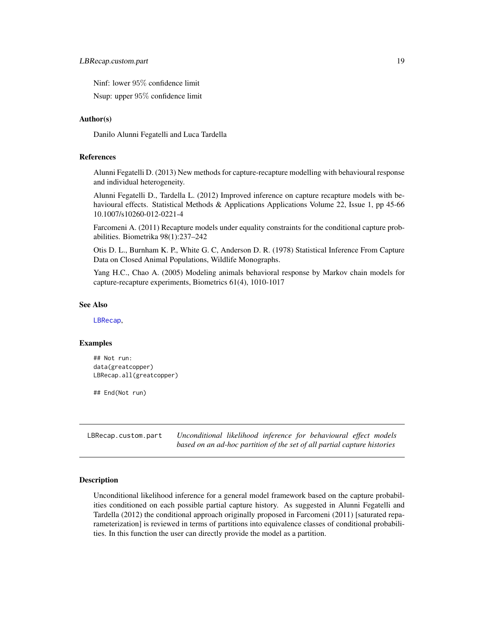<span id="page-18-0"></span>Ninf: lower 95% confidence limit

Nsup: upper 95% confidence limit

#### Author(s)

Danilo Alunni Fegatelli and Luca Tardella

## References

Alunni Fegatelli D. (2013) New methods for capture-recapture modelling with behavioural response and individual heterogeneity.

Alunni Fegatelli D., Tardella L. (2012) Improved inference on capture recapture models with behavioural effects. Statistical Methods & Applications Applications Volume 22, Issue 1, pp 45-66 10.1007/s10260-012-0221-4

Farcomeni A. (2011) Recapture models under equality constraints for the conditional capture probabilities. Biometrika 98(1):237–242

Otis D. L., Burnham K. P., White G. C, Anderson D. R. (1978) Statistical Inference From Capture Data on Closed Animal Populations, Wildlife Monographs.

Yang H.C., Chao A. (2005) Modeling animals behavioral response by Markov chain models for capture-recapture experiments, Biometrics 61(4), 1010-1017

### See Also

[LBRecap](#page-13-1),

#### Examples

```
## Not run:
data(greatcopper)
LBRecap.all(greatcopper)
```
## End(Not run)

<span id="page-18-1"></span>LBRecap.custom.part *Unconditional likelihood inference for behavioural effect models based on an ad-hoc partition of the set of all partial capture histories*

#### Description

Unconditional likelihood inference for a general model framework based on the capture probabilities conditioned on each possible partial capture history. As suggested in Alunni Fegatelli and Tardella (2012) the conditional approach originally proposed in Farcomeni (2011) [saturated reparameterization] is reviewed in terms of partitions into equivalence classes of conditional probabilities. In this function the user can directly provide the model as a partition.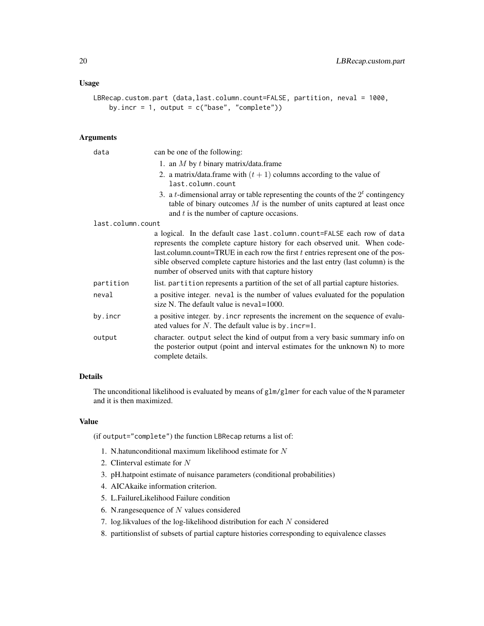## Usage

```
LBRecap.custom.part (data,last.column.count=FALSE, partition, neval = 1000,
    by.incr = 1, output = c("base", "complete")
```
#### Arguments

| data              | can be one of the following:                                                                                                                                                                                                                                                                                                                                                           |
|-------------------|----------------------------------------------------------------------------------------------------------------------------------------------------------------------------------------------------------------------------------------------------------------------------------------------------------------------------------------------------------------------------------------|
|                   | 1. an $M$ by $t$ binary matrix/data.frame                                                                                                                                                                                                                                                                                                                                              |
|                   | 2. a matrix/data.frame with $(t + 1)$ columns according to the value of<br>last.column.count                                                                                                                                                                                                                                                                                           |
|                   | 3. a <i>t</i> -dimensional array or table representing the counts of the $2t$ contingency<br>table of binary outcomes $M$ is the number of units captured at least once<br>and $t$ is the number of capture occasions.                                                                                                                                                                 |
| last.column.count |                                                                                                                                                                                                                                                                                                                                                                                        |
|                   | a logical. In the default case last.column.count=FALSE each row of data<br>represents the complete capture history for each observed unit. When code-<br>last.column.count=TRUE in each row the first $t$ entries represent one of the pos-<br>sible observed complete capture histories and the last entry (last column) is the<br>number of observed units with that capture history |
| partition         | list. partition represents a partition of the set of all partial capture histories.                                                                                                                                                                                                                                                                                                    |
| neval             | a positive integer, neval is the number of values evaluated for the population<br>size N. The default value is $neval=1000$ .                                                                                                                                                                                                                                                          |
| by.incr           | a positive integer. by incr represents the increment on the sequence of evalu-<br>ated values for $N$ . The default value is by . incr=1.                                                                                                                                                                                                                                              |
| output            | character. output select the kind of output from a very basic summary info on<br>the posterior output (point and interval estimates for the unknown N) to more<br>complete details.                                                                                                                                                                                                    |

## Details

The unconditional likelihood is evaluated by means of glm/glmer for each value of the N parameter and it is then maximized.

#### Value

(if output="complete") the function LBRecap returns a list of:

- 1. N.hatunconditional maximum likelihood estimate for  $N$
- 2. CIinterval estimate for N
- 3. pH.hatpoint estimate of nuisance parameters (conditional probabilities)
- 4. AICAkaike information criterion.
- 5. L.FailureLikelihood Failure condition
- 6. N.rangesequence of  $N$  values considered
- 7. log.likvalues of the log-likelihood distribution for each N considered
- 8. partitionslist of subsets of partial capture histories corresponding to equivalence classes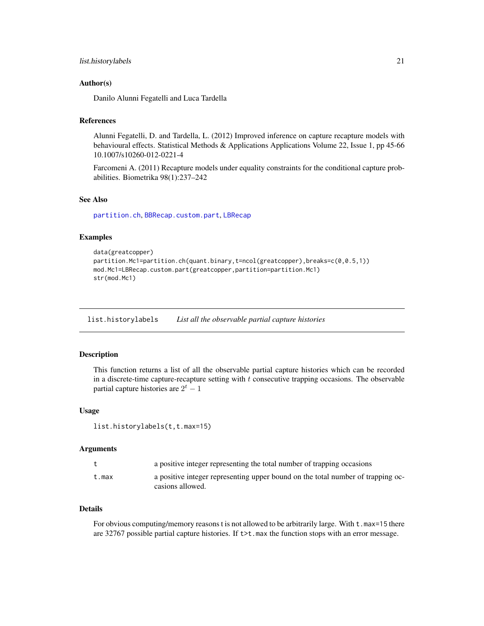## <span id="page-20-0"></span>list.historylabels 21

#### Author(s)

Danilo Alunni Fegatelli and Luca Tardella

#### References

Alunni Fegatelli, D. and Tardella, L. (2012) Improved inference on capture recapture models with behavioural effects. Statistical Methods & Applications Applications Volume 22, Issue 1, pp 45-66 10.1007/s10260-012-0221-4

Farcomeni A. (2011) Recapture models under equality constraints for the conditional capture probabilities. Biometrika 98(1):237–242

## See Also

[partition.ch](#page-23-1), [BBRecap.custom.part](#page-9-1), [LBRecap](#page-13-1)

#### Examples

```
data(greatcopper)
partition.Mc1=partition.ch(quant.binary,t=ncol(greatcopper),breaks=c(0,0.5,1))
mod.Mc1=LBRecap.custom.part(greatcopper,partition=partition.Mc1)
str(mod.Mc1)
```
list.historylabels *List all the observable partial capture histories*

#### Description

This function returns a list of all the observable partial capture histories which can be recorded in a discrete-time capture-recapture setting with  $t$  consecutive trapping occasions. The observable partial capture histories are  $2^t - 1$ 

#### Usage

```
list.historylabels(t,t.max=15)
```
#### Arguments

|       | a positive integer representing the total number of trapping occasions                              |
|-------|-----------------------------------------------------------------------------------------------------|
| t.max | a positive integer representing upper bound on the total number of trapping oc-<br>casions allowed. |

## Details

For obvious computing/memory reasons t is not allowed to be arbitrarily large. With  $t$ . max=15 there are 32767 possible partial capture histories. If  $t \geq t$ . max the function stops with an error message.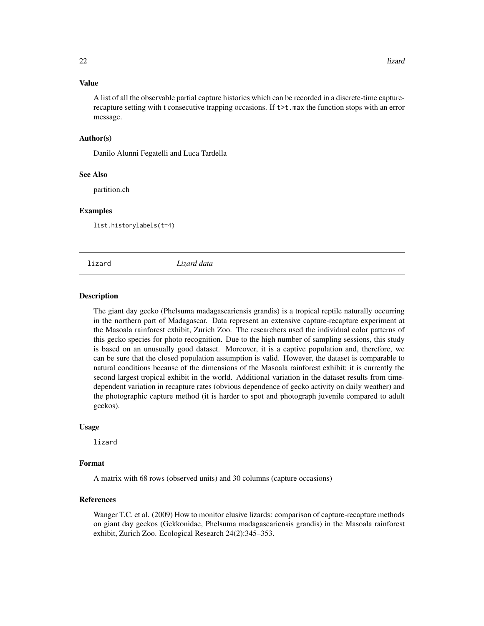## <span id="page-21-0"></span>Value

A list of all the observable partial capture histories which can be recorded in a discrete-time capturerecapture setting with t consecutive trapping occasions. If  $t$   $>$  t.max the function stops with an error message.

#### Author(s)

Danilo Alunni Fegatelli and Luca Tardella

#### See Also

partition.ch

#### Examples

list.historylabels(t=4)

lizard *Lizard data*

#### Description

The giant day gecko (Phelsuma madagascariensis grandis) is a tropical reptile naturally occurring in the northern part of Madagascar. Data represent an extensive capture-recapture experiment at the Masoala rainforest exhibit, Zurich Zoo. The researchers used the individual color patterns of this gecko species for photo recognition. Due to the high number of sampling sessions, this study is based on an unusually good dataset. Moreover, it is a captive population and, therefore, we can be sure that the closed population assumption is valid. However, the dataset is comparable to natural conditions because of the dimensions of the Masoala rainforest exhibit; it is currently the second largest tropical exhibit in the world. Additional variation in the dataset results from timedependent variation in recapture rates (obvious dependence of gecko activity on daily weather) and the photographic capture method (it is harder to spot and photograph juvenile compared to adult geckos).

#### Usage

lizard

#### Format

A matrix with 68 rows (observed units) and 30 columns (capture occasions)

#### References

Wanger T.C. et al. (2009) How to monitor elusive lizards: comparison of capture-recapture methods on giant day geckos (Gekkonidae, Phelsuma madagascariensis grandis) in the Masoala rainforest exhibit, Zurich Zoo. Ecological Research 24(2):345–353.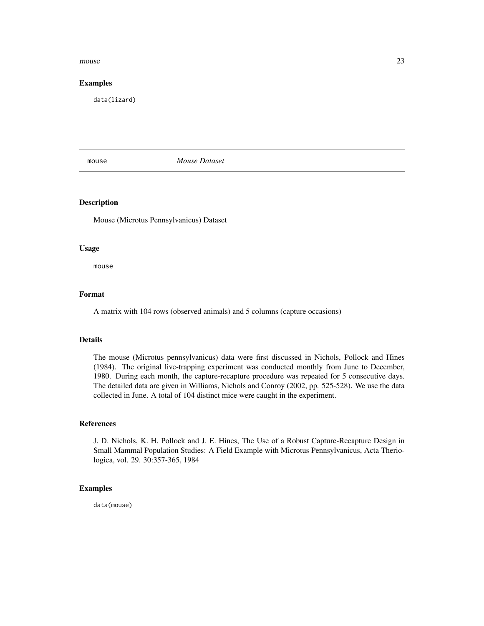#### <span id="page-22-0"></span> $m$ ouse  $23$

#### Examples

data(lizard)

mouse *Mouse Dataset*

## Description

Mouse (Microtus Pennsylvanicus) Dataset

#### Usage

mouse

#### Format

A matrix with 104 rows (observed animals) and 5 columns (capture occasions)

#### Details

The mouse (Microtus pennsylvanicus) data were first discussed in Nichols, Pollock and Hines (1984). The original live-trapping experiment was conducted monthly from June to December, 1980. During each month, the capture-recapture procedure was repeated for 5 consecutive days. The detailed data are given in Williams, Nichols and Conroy (2002, pp. 525-528). We use the data collected in June. A total of 104 distinct mice were caught in the experiment.

#### References

J. D. Nichols, K. H. Pollock and J. E. Hines, The Use of a Robust Capture-Recapture Design in Small Mammal Population Studies: A Field Example with Microtus Pennsylvanicus, Acta Theriologica, vol. 29. 30:357-365, 1984

#### Examples

data(mouse)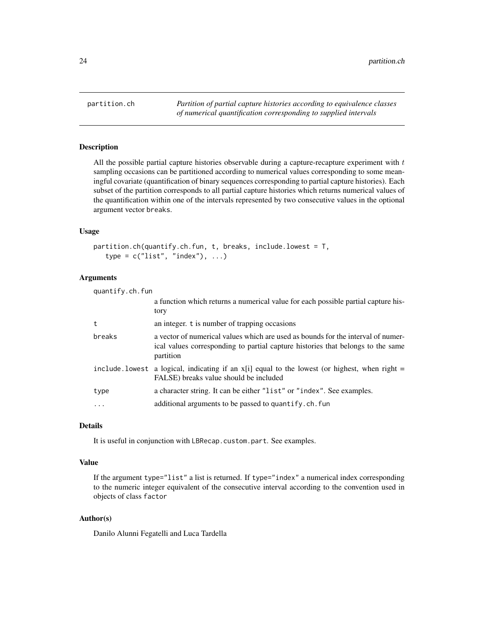<span id="page-23-1"></span><span id="page-23-0"></span>

## Description

All the possible partial capture histories observable during a capture-recapture experiment with  $t$ sampling occasions can be partitioned according to numerical values corresponding to some meaningful covariate (quantification of binary sequences corresponding to partial capture histories). Each subset of the partition corresponds to all partial capture histories which returns numerical values of the quantification within one of the intervals represented by two consecutive values in the optional argument vector breaks.

#### Usage

```
partition.ch(quantify.ch.fun, t, breaks, include.lowest = T,
   type = c("list", "index"), ...)
```
## Arguments

| quantify.ch.fun |                                                                                                                                                                                  |  |
|-----------------|----------------------------------------------------------------------------------------------------------------------------------------------------------------------------------|--|
|                 | a function which returns a numerical value for each possible partial capture his-<br>tory                                                                                        |  |
| t               | an integer. t is number of trapping occasions                                                                                                                                    |  |
| breaks          | a vector of numerical values which are used as bounds for the interval of numer-<br>ical values corresponding to partial capture histories that belongs to the same<br>partition |  |
|                 | include lowest a logical, indicating if an $x[i]$ equal to the lowest (or highest, when right =<br>FALSE) breaks value should be included                                        |  |
| type            | a character string. It can be either "list" or "index". See examples.                                                                                                            |  |
| .               | additional arguments to be passed to quantify.ch.fun                                                                                                                             |  |

#### Details

It is useful in conjunction with LBRecap.custom.part. See examples.

#### Value

If the argument type="list" a list is returned. If type="index" a numerical index corresponding to the numeric integer equivalent of the consecutive interval according to the convention used in objects of class factor

#### Author(s)

Danilo Alunni Fegatelli and Luca Tardella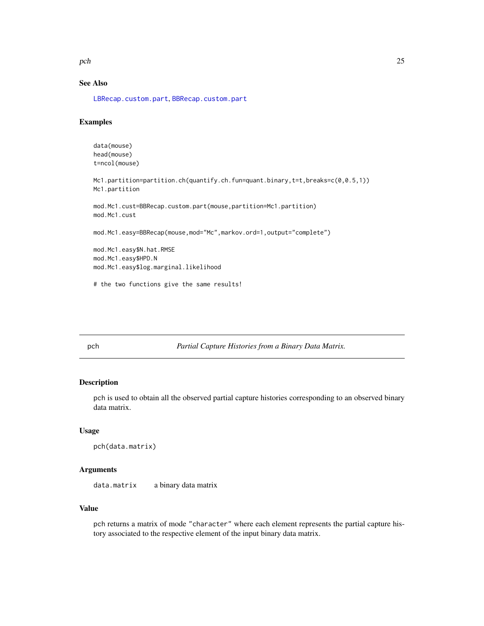<span id="page-24-0"></span> $pch$  25

## See Also

[LBRecap.custom.part](#page-18-1), [BBRecap.custom.part](#page-9-1)

## Examples

```
data(mouse)
head(mouse)
t=ncol(mouse)
Mc1.partition=partition.ch(quantify.ch.fun=quant.binary,t=t,breaks=c(0,0.5,1))
Mc1.partition
mod.Mc1.cust=BBRecap.custom.part(mouse,partition=Mc1.partition)
mod.Mc1.cust
mod.Mc1.easy=BBRecap(mouse,mod="Mc",markov.ord=1,output="complete")
mod.Mc1.easy$N.hat.RMSE
mod.Mc1.easy$HPD.N
mod.Mc1.easy$log.marginal.likelihood
```
# the two functions give the same results!

pch *Partial Capture Histories from a Binary Data Matrix.*

## Description

pch is used to obtain all the observed partial capture histories corresponding to an observed binary data matrix.

## Usage

```
pch(data.matrix)
```
## Arguments

data.matrix a binary data matrix

## Value

pch returns a matrix of mode "character" where each element represents the partial capture history associated to the respective element of the input binary data matrix.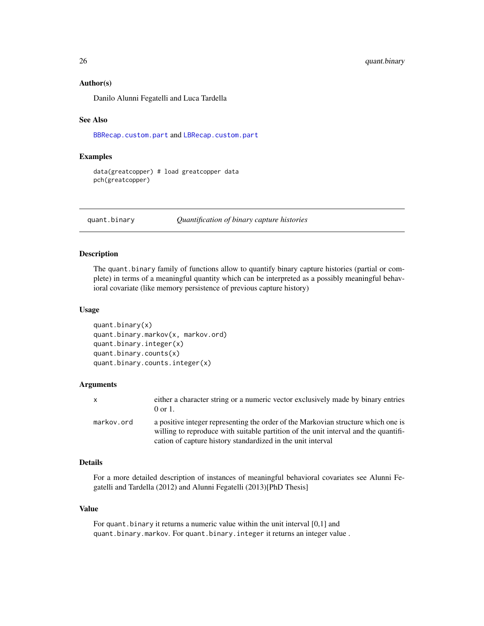#### Author(s)

Danilo Alunni Fegatelli and Luca Tardella

#### See Also

[BBRecap.custom.part](#page-9-1) and [LBRecap.custom.part](#page-18-1)

## Examples

```
data(greatcopper) # load greatcopper data
pch(greatcopper)
```
quant.binary *Quantification of binary capture histories*

#### Description

The quant.binary family of functions allow to quantify binary capture histories (partial or complete) in terms of a meaningful quantity which can be interpreted as a possibly meaningful behavioral covariate (like memory persistence of previous capture history)

#### Usage

```
quant.binary(x)
quant.binary.markov(x, markov.ord)
quant.binary.integer(x)
quant.binary.counts(x)
quant.binary.counts.integer(x)
```
#### Arguments

| $\mathsf{x}$ | either a character string or a numeric vector exclusively made by binary entries<br>$0 \text{ or } 1$ .                                                                                                                                 |
|--------------|-----------------------------------------------------------------------------------------------------------------------------------------------------------------------------------------------------------------------------------------|
| markov.ord   | a positive integer representing the order of the Markovian structure which one is<br>willing to reproduce with suitable partition of the unit interval and the quantifi-<br>cation of capture history standardized in the unit interval |

#### Details

For a more detailed description of instances of meaningful behavioral covariates see Alunni Fegatelli and Tardella (2012) and Alunni Fegatelli (2013)[PhD Thesis]

#### Value

For quant.binary it returns a numeric value within the unit interval [0,1] and quant.binary.markov. For quant.binary.integer it returns an integer value .

<span id="page-25-0"></span>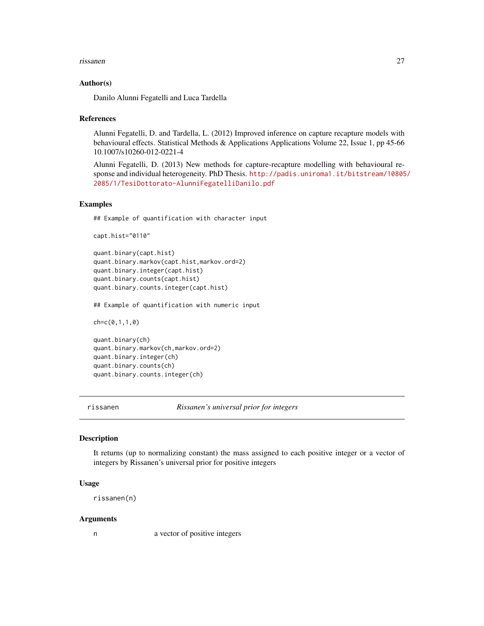#### <span id="page-26-0"></span>rissanen 27

#### Author(s)

Danilo Alunni Fegatelli and Luca Tardella

#### References

Alunni Fegatelli, D. and Tardella, L. (2012) Improved inference on capture recapture models with behavioural effects. Statistical Methods & Applications Applications Volume 22, Issue 1, pp 45-66 10.1007/s10260-012-0221-4

Alunni Fegatelli, D. (2013) New methods for capture-recapture modelling with behavioural response and individual heterogeneity. PhD Thesis. [http://padis.uniroma1.it/bitstream/10805](http://padis.uniroma1.it/bitstream/10805/2085/1/TesiDottorato-AlunniFegatelliDanilo.pdf)/ [2085/1/TesiDottorato-AlunniFegatelliDanilo.pdf](http://padis.uniroma1.it/bitstream/10805/2085/1/TesiDottorato-AlunniFegatelliDanilo.pdf)

#### Examples

## Example of quantification with character input

capt.hist="0110"

```
quant.binary(capt.hist)
quant.binary.markov(capt.hist,markov.ord=2)
quant.binary.integer(capt.hist)
quant.binary.counts(capt.hist)
quant.binary.counts.integer(capt.hist)
```
## Example of quantification with numeric input

ch=c(0,1,1,0)

quant.binary(ch) quant.binary.markov(ch,markov.ord=2) quant.binary.integer(ch) quant.binary.counts(ch) quant.binary.counts.integer(ch)

rissanen *Rissanen's universal prior for integers*

## Description

It returns (up to normalizing constant) the mass assigned to each positive integer or a vector of integers by Rissanen's universal prior for positive integers

#### Usage

rissanen(n)

#### Arguments

n a vector of positive integers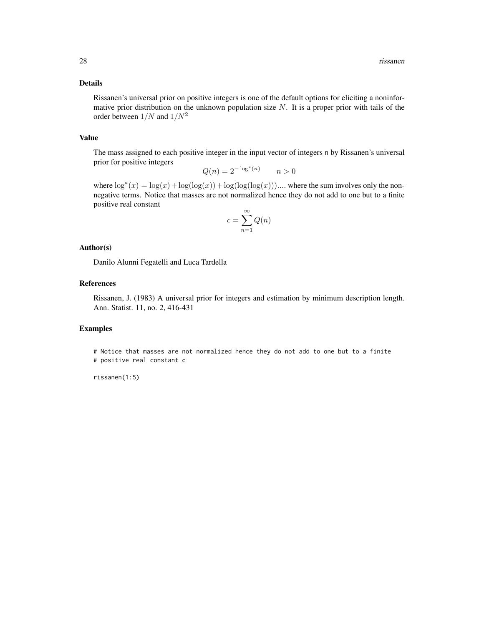#### Details

Rissanen's universal prior on positive integers is one of the default options for eliciting a noninformative prior distribution on the unknown population size  $N$ . It is a proper prior with tails of the order between  $1/N$  and  $1/N^2$ 

#### Value

The mass assigned to each positive integer in the input vector of integers n by Rissanen's universal prior for positive integers

$$
Q(n) = 2^{-\log^*(n)} \qquad n > 0
$$

where  $\log^*(x) = \log(x) + \log(\log(x)) + \log(\log(\log(x)))$ .... where the sum involves only the nonnegative terms. Notice that masses are not normalized hence they do not add to one but to a finite positive real constant

$$
c = \sum_{n=1}^{\infty} Q(n)
$$

#### Author(s)

Danilo Alunni Fegatelli and Luca Tardella

#### References

Rissanen, J. (1983) A universal prior for integers and estimation by minimum description length. Ann. Statist. 11, no. 2, 416-431

#### Examples

# Notice that masses are not normalized hence they do not add to one but to a finite # positive real constant c

rissanen(1:5)